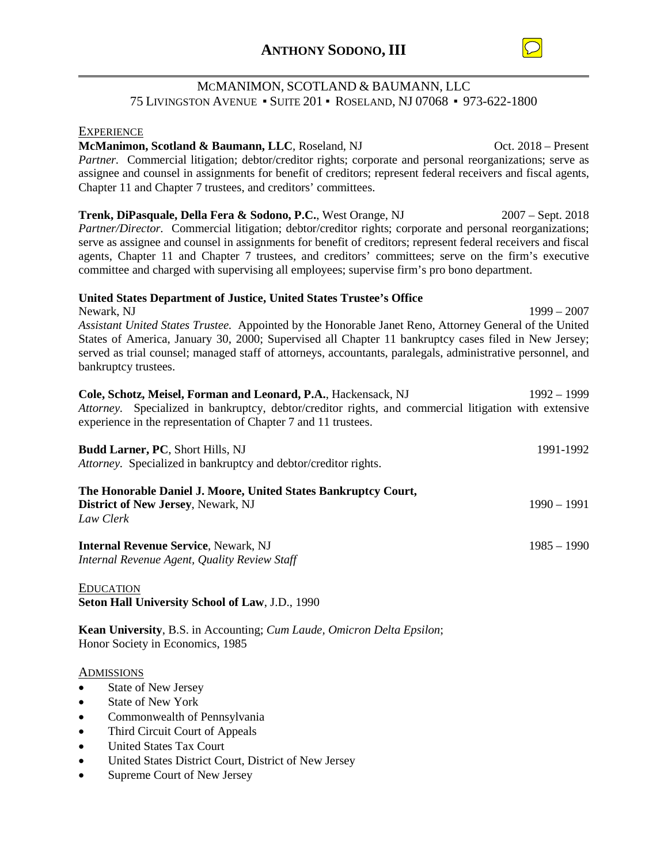

# MCMANIMON, SCOTLAND & BAUMANN, LLC 75 LIVINGSTON AVENUE ▪ SUITE 201 ▪ ROSELAND, NJ 07068 ▪ 973-622-1800

#### **EXPERIENCE**

**McManimon, Scotland & Baumann, LLC**, Roseland, NJ Oct. 2018 – Present *Partner.* Commercial litigation; debtor/creditor rights; corporate and personal reorganizations; serve as assignee and counsel in assignments for benefit of creditors; represent federal receivers and fiscal agents, Chapter 11 and Chapter 7 trustees, and creditors' committees.

**Trenk, DiPasquale, Della Fera & Sodono, P.C.**, West Orange, NJ 2007 – Sept. 2018 *Partner/Director.* Commercial litigation; debtor/creditor rights; corporate and personal reorganizations; serve as assignee and counsel in assignments for benefit of creditors; represent federal receivers and fiscal agents, Chapter 11 and Chapter 7 trustees, and creditors' committees; serve on the firm's executive committee and charged with supervising all employees; supervise firm's pro bono department.

### **United States Department of Justice, United States Trustee's Office**

Newark, NJ 1999 – 2007 *Assistant United States Trustee.* Appointed by the Honorable Janet Reno, Attorney General of the United States of America, January 30, 2000; Supervised all Chapter 11 bankruptcy cases filed in New Jersey; served as trial counsel; managed staff of attorneys, accountants, paralegals, administrative personnel, and bankruptcy trustees.

| Cole, Schotz, Meisel, Forman and Leonard, P.A., Hackensack, NJ                                        | 1992 – 1999 |
|-------------------------------------------------------------------------------------------------------|-------------|
| Attorney. Specialized in bankruptcy, debtor/creditor rights, and commercial litigation with extensive |             |
| experience in the representation of Chapter 7 and 11 trustees.                                        |             |

| <b>Budd Larner, PC, Short Hills, NJ</b><br>Attorney. Specialized in bankruptcy and debtor/creditor rights.               | 1991-1992     |
|--------------------------------------------------------------------------------------------------------------------------|---------------|
| The Honorable Daniel J. Moore, United States Bankruptcy Court,<br><b>District of New Jersey, Newark, NJ</b><br>Law Clerk | $1990 - 1991$ |
| <b>Internal Revenue Service, Newark, NJ</b><br>Internal Revenue Agent, Quality Review Staff                              | $1985 - 1990$ |

EDUCATION **Seton Hall University School of Law**, J.D., 1990

**Kean University**, B.S. in Accounting; *Cum Laude, Omicron Delta Epsilon*; Honor Society in Economics, 1985

#### ADMISSIONS

- State of New Jersey
- State of New York
- Commonwealth of Pennsylvania
- Third Circuit Court of Appeals
- United States Tax Court
- United States District Court, District of New Jersey
- Supreme Court of New Jersey